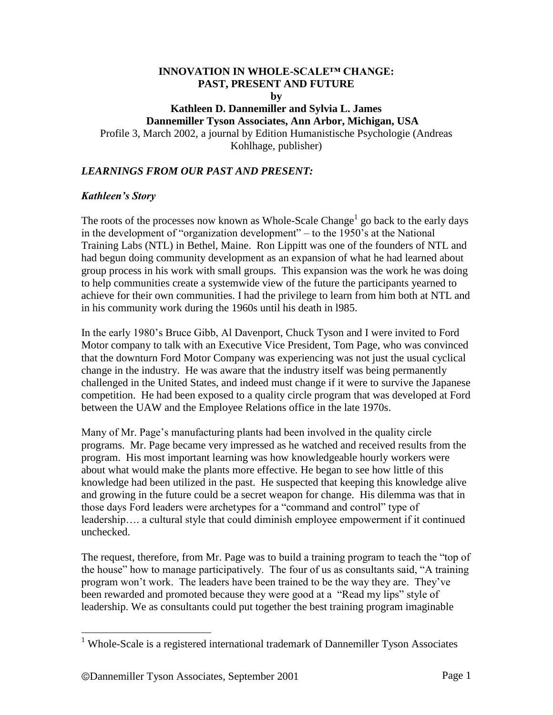# **INNOVATION IN WHOLE-SCALE™ CHANGE: PAST, PRESENT AND FUTURE by Kathleen D. Dannemiller and Sylvia L. James Dannemiller Tyson Associates, Ann Arbor, Michigan, USA** Profile 3, March 2002, a journal by Edition Humanistische Psychologie (Andreas

Kohlhage, publisher)

### *LEARNINGS FROM OUR PAST AND PRESENT:*

#### *Kathleen's Story*

The roots of the processes now known as Whole-Scale Change<sup>1</sup> go back to the early days in the development of "organization development" – to the 1950's at the National Training Labs (NTL) in Bethel, Maine. Ron Lippitt was one of the founders of NTL and had begun doing community development as an expansion of what he had learned about group process in his work with small groups. This expansion was the work he was doing to help communities create a systemwide view of the future the participants yearned to achieve for their own communities. I had the privilege to learn from him both at NTL and in his community work during the 1960s until his death in l985.

In the early 1980's Bruce Gibb, Al Davenport, Chuck Tyson and I were invited to Ford Motor company to talk with an Executive Vice President, Tom Page, who was convinced that the downturn Ford Motor Company was experiencing was not just the usual cyclical change in the industry. He was aware that the industry itself was being permanently challenged in the United States, and indeed must change if it were to survive the Japanese competition. He had been exposed to a quality circle program that was developed at Ford between the UAW and the Employee Relations office in the late 1970s.

Many of Mr. Page's manufacturing plants had been involved in the quality circle programs. Mr. Page became very impressed as he watched and received results from the program. His most important learning was how knowledgeable hourly workers were about what would make the plants more effective. He began to see how little of this knowledge had been utilized in the past. He suspected that keeping this knowledge alive and growing in the future could be a secret weapon for change. His dilemma was that in those days Ford leaders were archetypes for a "command and control" type of leadership…. a cultural style that could diminish employee empowerment if it continued unchecked.

The request, therefore, from Mr. Page was to build a training program to teach the "top of the house" how to manage participatively. The four of us as consultants said, "A training program won't work. The leaders have been trained to be the way they are. They've been rewarded and promoted because they were good at a "Read my lips" style of leadership. We as consultants could put together the best training program imaginable

<sup>&</sup>lt;sup>1</sup> Whole-Scale is a registered international trademark of Dannemiller Tyson Associates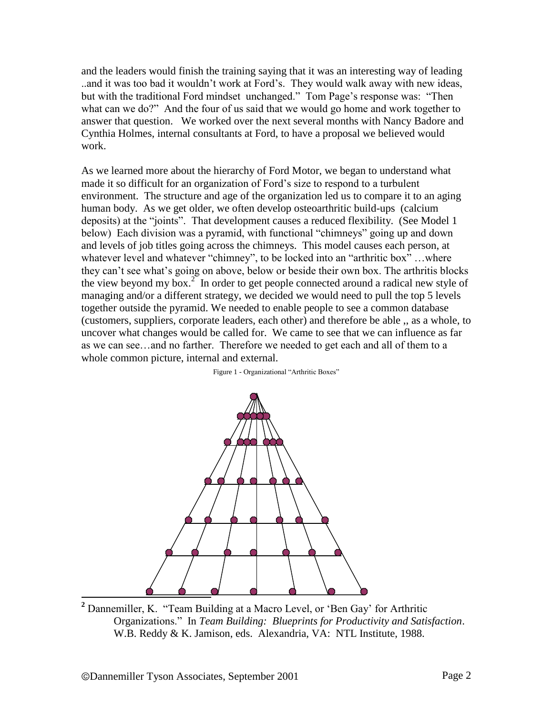and the leaders would finish the training saying that it was an interesting way of leading ..and it was too bad it wouldn't work at Ford's. They would walk away with new ideas, but with the traditional Ford mindset unchanged." Tom Page's response was: "Then what can we do?" And the four of us said that we would go home and work together to answer that question. We worked over the next several months with Nancy Badore and Cynthia Holmes, internal consultants at Ford, to have a proposal we believed would work.

As we learned more about the hierarchy of Ford Motor, we began to understand what made it so difficult for an organization of Ford's size to respond to a turbulent environment. The structure and age of the organization led us to compare it to an aging human body. As we get older, we often develop osteoarthritic build-ups (calcium deposits) at the "joints". That development causes a reduced flexibility. (See Model 1 below) Each division was a pyramid, with functional "chimneys" going up and down and levels of job titles going across the chimneys. This model causes each person, at whatever level and whatever "chimney", to be locked into an "arthritic box" ...where they can't see what's going on above, below or beside their own box. The arthritis blocks the view beyond my box.<sup>2</sup> In order to get people connected around a radical new style of managing and/or a different strategy, we decided we would need to pull the top 5 levels together outside the pyramid. We needed to enable people to see a common database (customers, suppliers, corporate leaders, each other) and therefore be able ,, as a whole, to uncover what changes would be called for. We came to see that we can influence as far as we can see…and no farther. Therefore we needed to get each and all of them to a whole common picture, internal and external.





**<sup>2</sup>** Dannemiller, K. "Team Building at a Macro Level, or 'Ben Gay' for Arthritic Organizations." In *Team Building: Blueprints for Productivity and Satisfaction*. W.B. Reddy & K. Jamison, eds. Alexandria, VA: NTL Institute, 1988.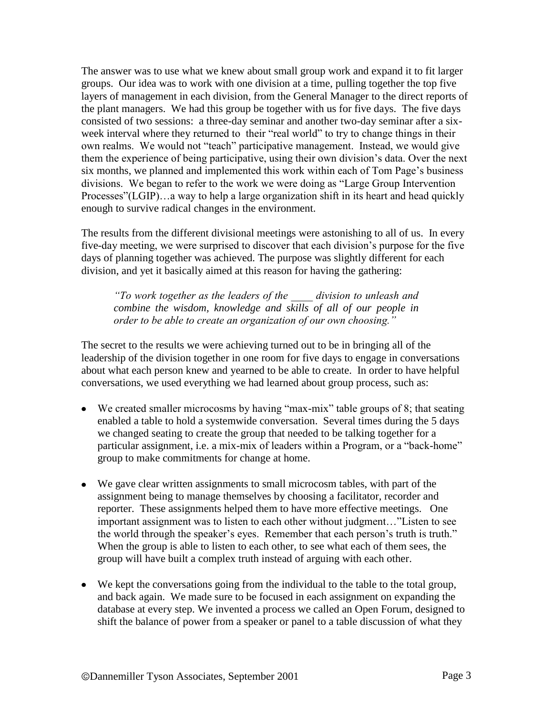The answer was to use what we knew about small group work and expand it to fit larger groups. Our idea was to work with one division at a time, pulling together the top five layers of management in each division, from the General Manager to the direct reports of the plant managers. We had this group be together with us for five days. The five days consisted of two sessions: a three-day seminar and another two-day seminar after a sixweek interval where they returned to their "real world" to try to change things in their own realms. We would not "teach" participative management. Instead, we would give them the experience of being participative, using their own division's data. Over the next six months, we planned and implemented this work within each of Tom Page's business divisions. We began to refer to the work we were doing as "Large Group Intervention Processes"(LGIP)…a way to help a large organization shift in its heart and head quickly enough to survive radical changes in the environment.

The results from the different divisional meetings were astonishing to all of us. In every five-day meeting, we were surprised to discover that each division's purpose for the five days of planning together was achieved. The purpose was slightly different for each division, and yet it basically aimed at this reason for having the gathering:

*"To work together as the leaders of the \_\_\_\_ division to unleash and combine the wisdom, knowledge and skills of all of our people in order to be able to create an organization of our own choosing."*

The secret to the results we were achieving turned out to be in bringing all of the leadership of the division together in one room for five days to engage in conversations about what each person knew and yearned to be able to create. In order to have helpful conversations, we used everything we had learned about group process, such as:

- We created smaller microcosms by having "max-mix" table groups of 8; that seating enabled a table to hold a systemwide conversation. Several times during the 5 days we changed seating to create the group that needed to be talking together for a particular assignment, i.e. a mix-mix of leaders within a Program, or a "back-home" group to make commitments for change at home.
- We gave clear written assignments to small microcosm tables, with part of the assignment being to manage themselves by choosing a facilitator, recorder and reporter. These assignments helped them to have more effective meetings. One important assignment was to listen to each other without judgment…"Listen to see the world through the speaker's eyes. Remember that each person's truth is truth." When the group is able to listen to each other, to see what each of them sees, the group will have built a complex truth instead of arguing with each other.
- We kept the conversations going from the individual to the table to the total group, and back again. We made sure to be focused in each assignment on expanding the database at every step. We invented a process we called an Open Forum, designed to shift the balance of power from a speaker or panel to a table discussion of what they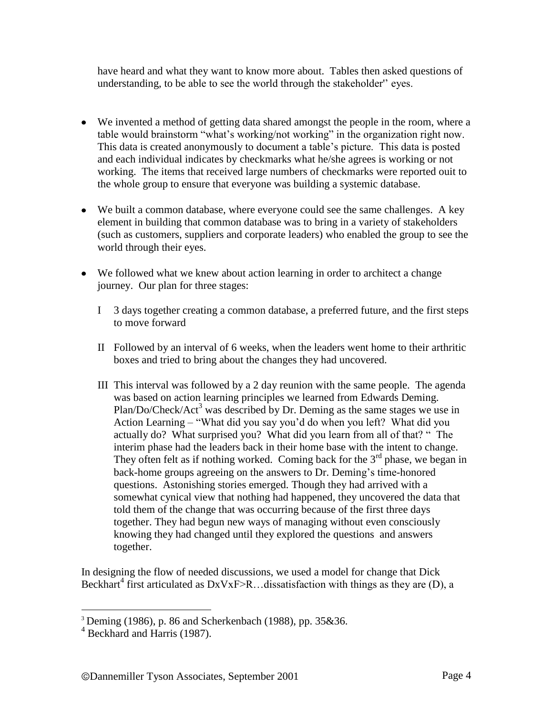have heard and what they want to know more about. Tables then asked questions of understanding, to be able to see the world through the stakeholder'' eyes.

- We invented a method of getting data shared amongst the people in the room, where a table would brainstorm "what's working/not working" in the organization right now. This data is created anonymously to document a table's picture. This data is posted and each individual indicates by checkmarks what he/she agrees is working or not working. The items that received large numbers of checkmarks were reported ouit to the whole group to ensure that everyone was building a systemic database.
- We built a common database, where everyone could see the same challenges. A key element in building that common database was to bring in a variety of stakeholders (such as customers, suppliers and corporate leaders) who enabled the group to see the world through their eyes.
- We followed what we knew about action learning in order to architect a change journey. Our plan for three stages:
	- I 3 days together creating a common database, a preferred future, and the first steps to move forward
	- II Followed by an interval of 6 weeks, when the leaders went home to their arthritic boxes and tried to bring about the changes they had uncovered.
	- III This interval was followed by a 2 day reunion with the same people. The agenda was based on action learning principles we learned from Edwards Deming.  $Plan/Do/Check/Act<sup>3</sup>$  was described by Dr. Deming as the same stages we use in Action Learning – "What did you say you'd do when you left? What did you actually do? What surprised you? What did you learn from all of that? " The interim phase had the leaders back in their home base with the intent to change. They often felt as if nothing worked. Coming back for the  $3<sup>rd</sup>$  phase, we began in back-home groups agreeing on the answers to Dr. Deming's time-honored questions. Astonishing stories emerged. Though they had arrived with a somewhat cynical view that nothing had happened, they uncovered the data that told them of the change that was occurring because of the first three days together. They had begun new ways of managing without even consciously knowing they had changed until they explored the questions and answers together.

In designing the flow of needed discussions, we used a model for change that Dick Beckhart<sup>4</sup> first articulated as  $DxVxF > R$ ... dissatisfaction with things as they are (D), a

<sup>3</sup> Deming (1986), p. 86 and Scherkenbach (1988), pp. 35&36.

<sup>4</sup> Beckhard and Harris (1987).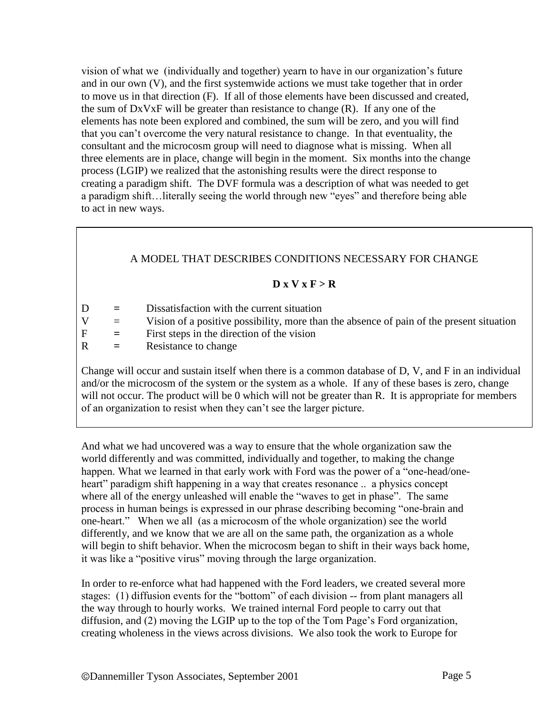vision of what we (individually and together) yearn to have in our organization's future and in our own (V), and the first systemwide actions we must take together that in order to move us in that direction (F). If all of those elements have been discussed and created, the sum of  $DxVxF$  will be greater than resistance to change  $(R)$ . If any one of the elements has note been explored and combined, the sum will be zero, and you will find that you can't overcome the very natural resistance to change. In that eventuality, the consultant and the microcosm group will need to diagnose what is missing. When all three elements are in place, change will begin in the moment. Six months into the change process (LGIP) we realized that the astonishing results were the direct response to creating a paradigm shift. The DVF formula was a description of what was needed to get a paradigm shift…literally seeing the world through new "eyes" and therefore being able to act in new ways.

|                                                                                                      |     | A MODEL THAT DESCRIBES CONDITIONS NECESSARY FOR CHANGE                                   |
|------------------------------------------------------------------------------------------------------|-----|------------------------------------------------------------------------------------------|
| $\mathbf{D} \times \mathbf{V} \times \mathbf{F} > \mathbf{R}$                                        |     |                                                                                          |
| D                                                                                                    | $=$ | Dissatisfaction with the current situation                                               |
| V                                                                                                    | $=$ | Vision of a positive possibility, more than the absence of pain of the present situation |
| $\mathbf{F}$                                                                                         | $=$ | First steps in the direction of the vision                                               |
| $\mathbf R$                                                                                          | $=$ | Resistance to change                                                                     |
| Change will occur and sustain itself when there is a common database of D, V, and F in an individual |     |                                                                                          |

and/or the microcosm of the system or the system as a whole. If any of these bases is zero, change will not occur. The product will be 0 which will not be greater than R. It is appropriate for members of an organization to resist when they can't see the larger picture.

And what we had uncovered was a way to ensure that the whole organization saw the world differently and was committed, individually and together, to making the change happen. What we learned in that early work with Ford was the power of a "one-head/oneheart" paradigm shift happening in a way that creates resonance .. a physics concept where all of the energy unleashed will enable the "waves to get in phase". The same process in human beings is expressed in our phrase describing becoming "one-brain and one-heart." When we all (as a microcosm of the whole organization) see the world differently, and we know that we are all on the same path, the organization as a whole will begin to shift behavior. When the microcosm began to shift in their ways back home, it was like a "positive virus" moving through the large organization.

In order to re-enforce what had happened with the Ford leaders, we created several more stages: (1) diffusion events for the "bottom" of each division -- from plant managers all the way through to hourly works. We trained internal Ford people to carry out that diffusion, and (2) moving the LGIP up to the top of the Tom Page's Ford organization, creating wholeness in the views across divisions. We also took the work to Europe for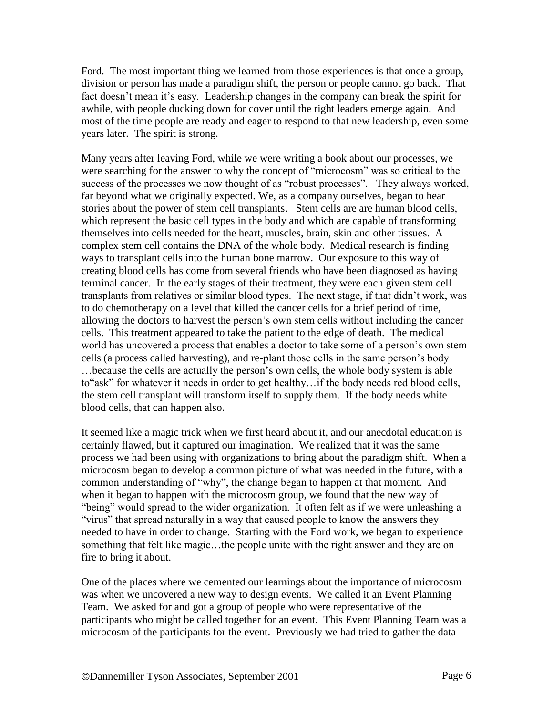Ford. The most important thing we learned from those experiences is that once a group, division or person has made a paradigm shift, the person or people cannot go back. That fact doesn't mean it's easy. Leadership changes in the company can break the spirit for awhile, with people ducking down for cover until the right leaders emerge again. And most of the time people are ready and eager to respond to that new leadership, even some years later. The spirit is strong.

Many years after leaving Ford, while we were writing a book about our processes, we were searching for the answer to why the concept of "microcosm" was so critical to the success of the processes we now thought of as "robust processes". They always worked, far beyond what we originally expected. We, as a company ourselves, began to hear stories about the power of stem cell transplants. Stem cells are are human blood cells, which represent the basic cell types in the body and which are capable of transforming themselves into cells needed for the heart, muscles, brain, skin and other tissues. A complex stem cell contains the DNA of the whole body. Medical research is finding ways to transplant cells into the human bone marrow. Our exposure to this way of creating blood cells has come from several friends who have been diagnosed as having terminal cancer. In the early stages of their treatment, they were each given stem cell transplants from relatives or similar blood types. The next stage, if that didn't work, was to do chemotherapy on a level that killed the cancer cells for a brief period of time, allowing the doctors to harvest the person's own stem cells without including the cancer cells. This treatment appeared to take the patient to the edge of death. The medical world has uncovered a process that enables a doctor to take some of a person's own stem cells (a process called harvesting), and re-plant those cells in the same person's body …because the cells are actually the person's own cells, the whole body system is able to"ask" for whatever it needs in order to get healthy…if the body needs red blood cells, the stem cell transplant will transform itself to supply them. If the body needs white blood cells, that can happen also.

It seemed like a magic trick when we first heard about it, and our anecdotal education is certainly flawed, but it captured our imagination. We realized that it was the same process we had been using with organizations to bring about the paradigm shift. When a microcosm began to develop a common picture of what was needed in the future, with a common understanding of "why", the change began to happen at that moment. And when it began to happen with the microcosm group, we found that the new way of "being" would spread to the wider organization. It often felt as if we were unleashing a "virus" that spread naturally in a way that caused people to know the answers they needed to have in order to change. Starting with the Ford work, we began to experience something that felt like magic…the people unite with the right answer and they are on fire to bring it about.

One of the places where we cemented our learnings about the importance of microcosm was when we uncovered a new way to design events. We called it an Event Planning Team. We asked for and got a group of people who were representative of the participants who might be called together for an event. This Event Planning Team was a microcosm of the participants for the event. Previously we had tried to gather the data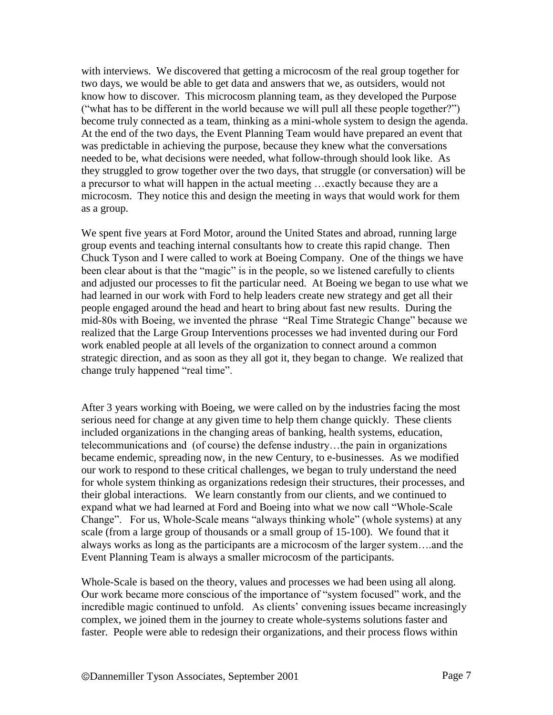with interviews. We discovered that getting a microcosm of the real group together for two days, we would be able to get data and answers that we, as outsiders, would not know how to discover. This microcosm planning team, as they developed the Purpose ("what has to be different in the world because we will pull all these people together?") become truly connected as a team, thinking as a mini-whole system to design the agenda. At the end of the two days, the Event Planning Team would have prepared an event that was predictable in achieving the purpose, because they knew what the conversations needed to be, what decisions were needed, what follow-through should look like. As they struggled to grow together over the two days, that struggle (or conversation) will be a precursor to what will happen in the actual meeting …exactly because they are a microcosm. They notice this and design the meeting in ways that would work for them as a group.

We spent five years at Ford Motor, around the United States and abroad, running large group events and teaching internal consultants how to create this rapid change. Then Chuck Tyson and I were called to work at Boeing Company. One of the things we have been clear about is that the "magic" is in the people, so we listened carefully to clients and adjusted our processes to fit the particular need. At Boeing we began to use what we had learned in our work with Ford to help leaders create new strategy and get all their people engaged around the head and heart to bring about fast new results. During the mid-80s with Boeing, we invented the phrase "Real Time Strategic Change" because we realized that the Large Group Interventions processes we had invented during our Ford work enabled people at all levels of the organization to connect around a common strategic direction, and as soon as they all got it, they began to change. We realized that change truly happened "real time".

After 3 years working with Boeing, we were called on by the industries facing the most serious need for change at any given time to help them change quickly. These clients included organizations in the changing areas of banking, health systems, education, telecommunications and (of course) the defense industry…the pain in organizations became endemic, spreading now, in the new Century, to e-businesses. As we modified our work to respond to these critical challenges, we began to truly understand the need for whole system thinking as organizations redesign their structures, their processes, and their global interactions. We learn constantly from our clients, and we continued to expand what we had learned at Ford and Boeing into what we now call "Whole-Scale Change". For us, Whole-Scale means "always thinking whole" (whole systems) at any scale (from a large group of thousands or a small group of 15-100). We found that it always works as long as the participants are a microcosm of the larger system….and the Event Planning Team is always a smaller microcosm of the participants.

Whole-Scale is based on the theory, values and processes we had been using all along. Our work became more conscious of the importance of "system focused" work, and the incredible magic continued to unfold. As clients' convening issues became increasingly complex, we joined them in the journey to create whole-systems solutions faster and faster. People were able to redesign their organizations, and their process flows within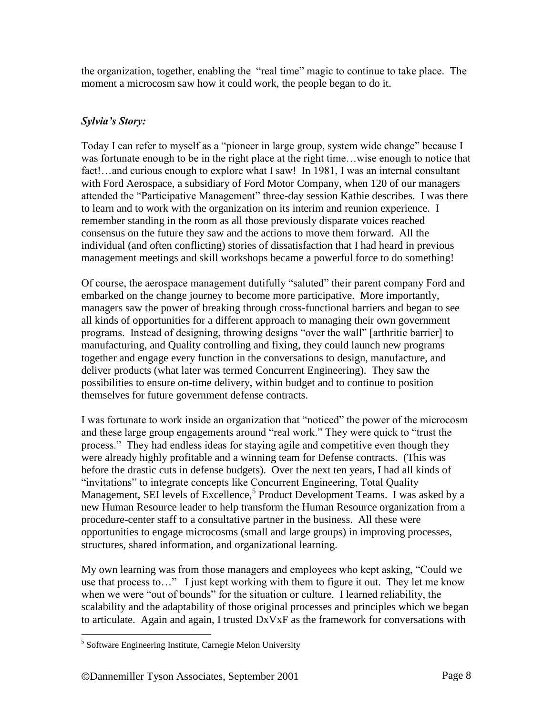the organization, together, enabling the "real time" magic to continue to take place. The moment a microcosm saw how it could work, the people began to do it.

# *Sylvia's Story:*

Today I can refer to myself as a "pioneer in large group, system wide change" because I was fortunate enough to be in the right place at the right time…wise enough to notice that fact!...and curious enough to explore what I saw! In 1981, I was an internal consultant with Ford Aerospace, a subsidiary of Ford Motor Company, when 120 of our managers attended the "Participative Management" three-day session Kathie describes. I was there to learn and to work with the organization on its interim and reunion experience. I remember standing in the room as all those previously disparate voices reached consensus on the future they saw and the actions to move them forward. All the individual (and often conflicting) stories of dissatisfaction that I had heard in previous management meetings and skill workshops became a powerful force to do something!

Of course, the aerospace management dutifully "saluted" their parent company Ford and embarked on the change journey to become more participative. More importantly, managers saw the power of breaking through cross-functional barriers and began to see all kinds of opportunities for a different approach to managing their own government programs. Instead of designing, throwing designs "over the wall" [arthritic barrier] to manufacturing, and Quality controlling and fixing, they could launch new programs together and engage every function in the conversations to design, manufacture, and deliver products (what later was termed Concurrent Engineering). They saw the possibilities to ensure on-time delivery, within budget and to continue to position themselves for future government defense contracts.

I was fortunate to work inside an organization that "noticed" the power of the microcosm and these large group engagements around "real work." They were quick to "trust the process." They had endless ideas for staying agile and competitive even though they were already highly profitable and a winning team for Defense contracts. (This was before the drastic cuts in defense budgets). Over the next ten years, I had all kinds of "invitations" to integrate concepts like Concurrent Engineering, Total Quality Management, SEI levels of Excellence,<sup>5</sup> Product Development Teams. I was asked by a new Human Resource leader to help transform the Human Resource organization from a procedure-center staff to a consultative partner in the business. All these were opportunities to engage microcosms (small and large groups) in improving processes, structures, shared information, and organizational learning.

My own learning was from those managers and employees who kept asking, "Could we use that process to…" I just kept working with them to figure it out. They let me know when we were "out of bounds" for the situation or culture. I learned reliability, the scalability and the adaptability of those original processes and principles which we began to articulate. Again and again, I trusted DxVxF as the framework for conversations with

 <sup>5</sup> Software Engineering Institute, Carnegie Melon University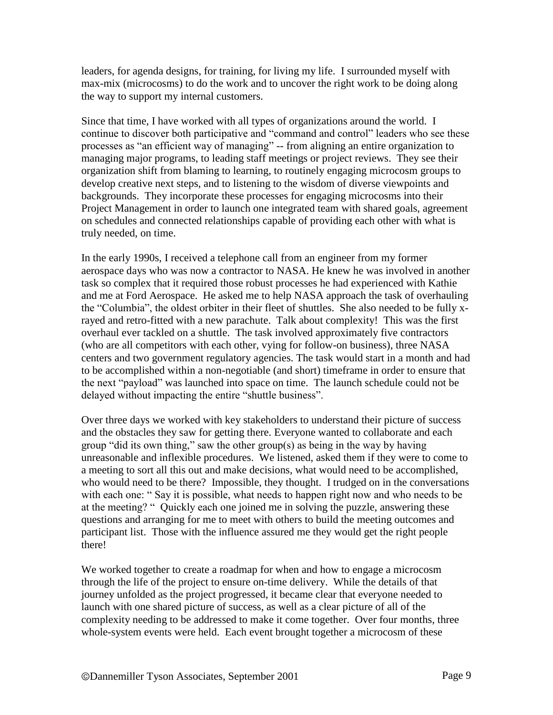leaders, for agenda designs, for training, for living my life. I surrounded myself with max-mix (microcosms) to do the work and to uncover the right work to be doing along the way to support my internal customers.

Since that time, I have worked with all types of organizations around the world. I continue to discover both participative and "command and control" leaders who see these processes as "an efficient way of managing" -- from aligning an entire organization to managing major programs, to leading staff meetings or project reviews. They see their organization shift from blaming to learning, to routinely engaging microcosm groups to develop creative next steps, and to listening to the wisdom of diverse viewpoints and backgrounds. They incorporate these processes for engaging microcosms into their Project Management in order to launch one integrated team with shared goals, agreement on schedules and connected relationships capable of providing each other with what is truly needed, on time.

In the early 1990s, I received a telephone call from an engineer from my former aerospace days who was now a contractor to NASA. He knew he was involved in another task so complex that it required those robust processes he had experienced with Kathie and me at Ford Aerospace. He asked me to help NASA approach the task of overhauling the "Columbia", the oldest orbiter in their fleet of shuttles. She also needed to be fully xrayed and retro-fitted with a new parachute. Talk about complexity! This was the first overhaul ever tackled on a shuttle. The task involved approximately five contractors (who are all competitors with each other, vying for follow-on business), three NASA centers and two government regulatory agencies. The task would start in a month and had to be accomplished within a non-negotiable (and short) timeframe in order to ensure that the next "payload" was launched into space on time. The launch schedule could not be delayed without impacting the entire "shuttle business".

Over three days we worked with key stakeholders to understand their picture of success and the obstacles they saw for getting there. Everyone wanted to collaborate and each group "did its own thing," saw the other group(s) as being in the way by having unreasonable and inflexible procedures. We listened, asked them if they were to come to a meeting to sort all this out and make decisions, what would need to be accomplished, who would need to be there? Impossible, they thought. I trudged on in the conversations with each one: "Say it is possible, what needs to happen right now and who needs to be at the meeting? " Quickly each one joined me in solving the puzzle, answering these questions and arranging for me to meet with others to build the meeting outcomes and participant list. Those with the influence assured me they would get the right people there!

We worked together to create a roadmap for when and how to engage a microcosm through the life of the project to ensure on-time delivery. While the details of that journey unfolded as the project progressed, it became clear that everyone needed to launch with one shared picture of success, as well as a clear picture of all of the complexity needing to be addressed to make it come together. Over four months, three whole-system events were held. Each event brought together a microcosm of these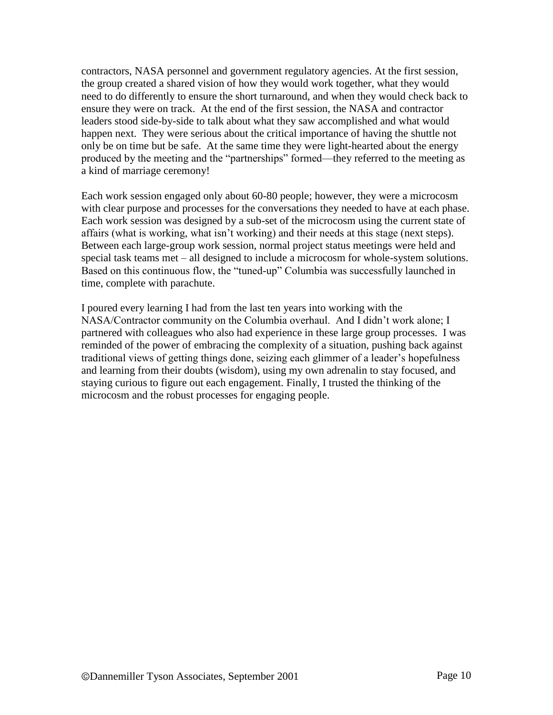contractors, NASA personnel and government regulatory agencies. At the first session, the group created a shared vision of how they would work together, what they would need to do differently to ensure the short turnaround, and when they would check back to ensure they were on track. At the end of the first session, the NASA and contractor leaders stood side-by-side to talk about what they saw accomplished and what would happen next. They were serious about the critical importance of having the shuttle not only be on time but be safe. At the same time they were light-hearted about the energy produced by the meeting and the "partnerships" formed—they referred to the meeting as a kind of marriage ceremony!

Each work session engaged only about 60-80 people; however, they were a microcosm with clear purpose and processes for the conversations they needed to have at each phase. Each work session was designed by a sub-set of the microcosm using the current state of affairs (what is working, what isn't working) and their needs at this stage (next steps). Between each large-group work session, normal project status meetings were held and special task teams met – all designed to include a microcosm for whole-system solutions. Based on this continuous flow, the "tuned-up" Columbia was successfully launched in time, complete with parachute.

I poured every learning I had from the last ten years into working with the NASA/Contractor community on the Columbia overhaul. And I didn't work alone; I partnered with colleagues who also had experience in these large group processes. I was reminded of the power of embracing the complexity of a situation, pushing back against traditional views of getting things done, seizing each glimmer of a leader's hopefulness and learning from their doubts (wisdom), using my own adrenalin to stay focused, and staying curious to figure out each engagement. Finally, I trusted the thinking of the microcosm and the robust processes for engaging people.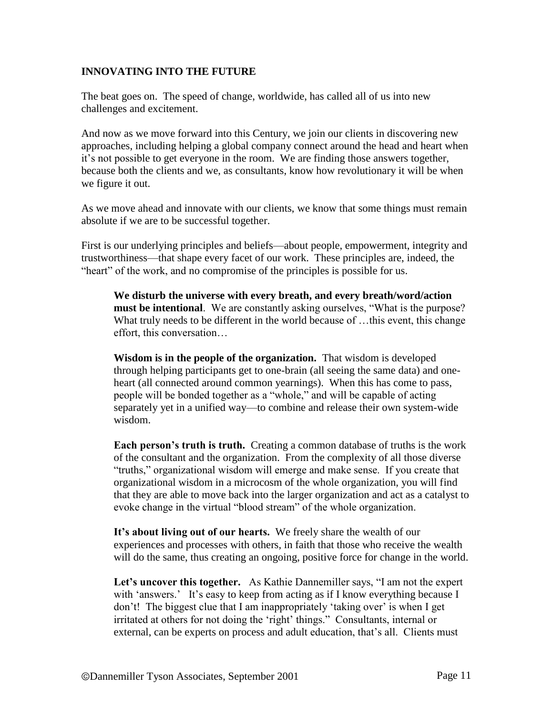### **INNOVATING INTO THE FUTURE**

The beat goes on. The speed of change, worldwide, has called all of us into new challenges and excitement.

And now as we move forward into this Century, we join our clients in discovering new approaches, including helping a global company connect around the head and heart when it's not possible to get everyone in the room. We are finding those answers together, because both the clients and we, as consultants, know how revolutionary it will be when we figure it out.

As we move ahead and innovate with our clients, we know that some things must remain absolute if we are to be successful together.

First is our underlying principles and beliefs—about people, empowerment, integrity and trustworthiness—that shape every facet of our work. These principles are, indeed, the "heart" of the work, and no compromise of the principles is possible for us.

**We disturb the universe with every breath, and every breath/word/action must be intentional**. We are constantly asking ourselves, "What is the purpose? What truly needs to be different in the world because of ...this event, this change effort, this conversation…

**Wisdom is in the people of the organization.** That wisdom is developed through helping participants get to one-brain (all seeing the same data) and oneheart (all connected around common yearnings). When this has come to pass, people will be bonded together as a "whole," and will be capable of acting separately yet in a unified way—to combine and release their own system-wide wisdom.

**Each person's truth is truth.** Creating a common database of truths is the work of the consultant and the organization. From the complexity of all those diverse "truths," organizational wisdom will emerge and make sense. If you create that organizational wisdom in a microcosm of the whole organization, you will find that they are able to move back into the larger organization and act as a catalyst to evoke change in the virtual "blood stream" of the whole organization.

**It's about living out of our hearts.** We freely share the wealth of our experiences and processes with others, in faith that those who receive the wealth will do the same, thus creating an ongoing, positive force for change in the world.

Let's uncover this together. As Kathie Dannemiller says, "I am not the expert with 'answers.' It's easy to keep from acting as if I know everything because I don't! The biggest clue that I am inappropriately 'taking over' is when I get irritated at others for not doing the 'right' things." Consultants, internal or external, can be experts on process and adult education, that's all. Clients must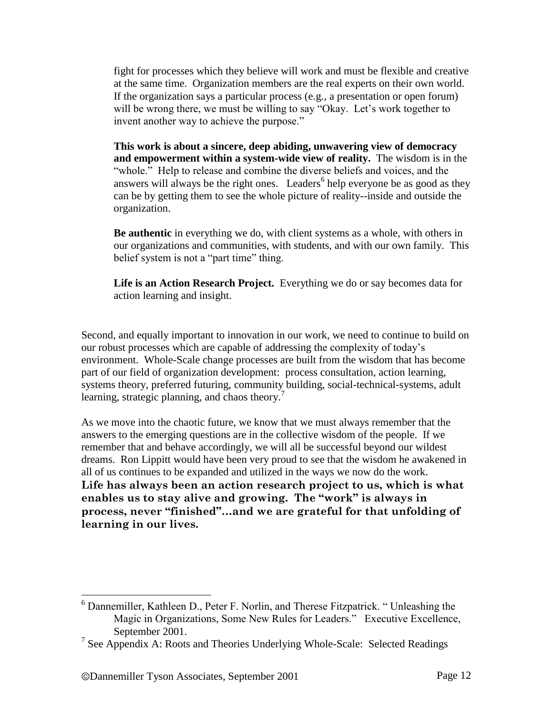fight for processes which they believe will work and must be flexible and creative at the same time. Organization members are the real experts on their own world. If the organization says a particular process (e.g., a presentation or open forum) will be wrong there, we must be willing to say "Okay. Let's work together to invent another way to achieve the purpose."

**This work is about a sincere, deep abiding, unwavering view of democracy and empowerment within a system-wide view of reality.** The wisdom is in the "whole." Help to release and combine the diverse beliefs and voices, and the answers will always be the right ones. Leaders<sup>6</sup> help everyone be as good as they can be by getting them to see the whole picture of reality--inside and outside the organization.

**Be authentic** in everything we do, with client systems as a whole, with others in our organizations and communities, with students, and with our own family. This belief system is not a "part time" thing.

**Life is an Action Research Project.** Everything we do or say becomes data for action learning and insight.

Second, and equally important to innovation in our work, we need to continue to build on our robust processes which are capable of addressing the complexity of today's environment. Whole-Scale change processes are built from the wisdom that has become part of our field of organization development: process consultation, action learning, systems theory, preferred futuring, community building, social-technical-systems, adult learning, strategic planning, and chaos theory.<sup>7</sup>

As we move into the chaotic future, we know that we must always remember that the answers to the emerging questions are in the collective wisdom of the people. If we remember that and behave accordingly, we will all be successful beyond our wildest dreams. Ron Lippitt would have been very proud to see that the wisdom he awakened in all of us continues to be expanded and utilized in the ways we now do the work. **Life has always been an action research project to us, which is what enables us to stay alive and growing. The "work" is always in process, never "finished"…and we are grateful for that unfolding of learning in our lives.**

<sup>&</sup>lt;sup>6</sup> Dannemiller, Kathleen D., Peter F. Norlin, and Therese Fitzpatrick. "Unleashing the Magic in Organizations, Some New Rules for Leaders." Executive Excellence, September 2001.

<sup>&</sup>lt;sup>7</sup> See Appendix A: Roots and Theories Underlying Whole-Scale: Selected Readings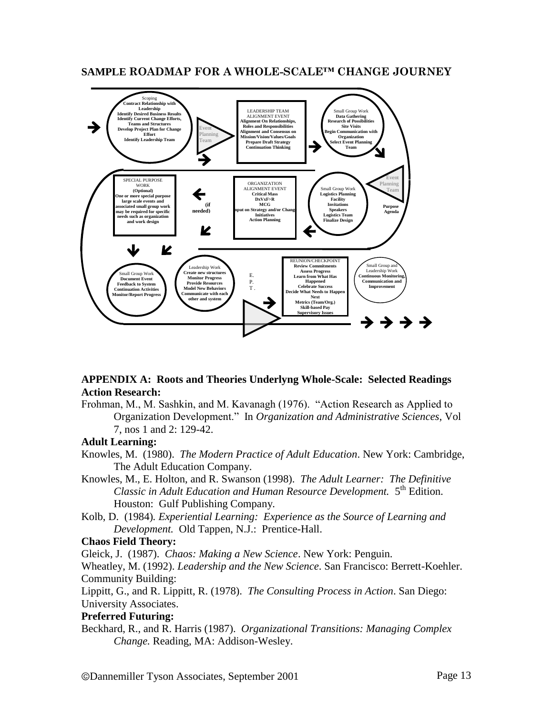**SAMPLE ROADMAP FOR A WHOLE-SCALE™ CHANGE JOURNEY** 



## **APPENDIX A: Roots and Theories Underlyng Whole-Scale: Selected Readings Action Research:**

Frohman, M., M. Sashkin, and M. Kavanagh (1976). "Action Research as Applied to Organization Development." In *Organization and Administrative Sciences*, Vol 7, nos 1 and 2: 129-42.

#### **Adult Learning:**

- Knowles, M. (1980). *The Modern Practice of Adult Education*. New York: Cambridge, The Adult Education Company.
- Knowles, M., E. Holton, and R. Swanson (1998). *The Adult Learner: The Definitive*  Classic in Adult Education and Human Resource Development. 5<sup>th</sup> Edition. Houston: Gulf Publishing Company*.*
- Kolb, D. (1984)*. Experiential Learning: Experience as the Source of Learning and Development.* Old Tappen, N.J.: Prentice-Hall.

## **Chaos Field Theory:**

Gleick, J. (1987). *Chaos: Making a New Science*. New York: Penguin.

Wheatley, M. (1992). *Leadership and the New Science*. San Francisco: Berrett-Koehler. Community Building:

Lippitt, G., and R. Lippitt, R. (1978). *The Consulting Process in Action*. San Diego: University Associates.

## **Preferred Futuring:**

Beckhard, R., and R. Harris (1987). *Organizational Transitions: Managing Complex Change.* Reading, MA: Addison-Wesley.